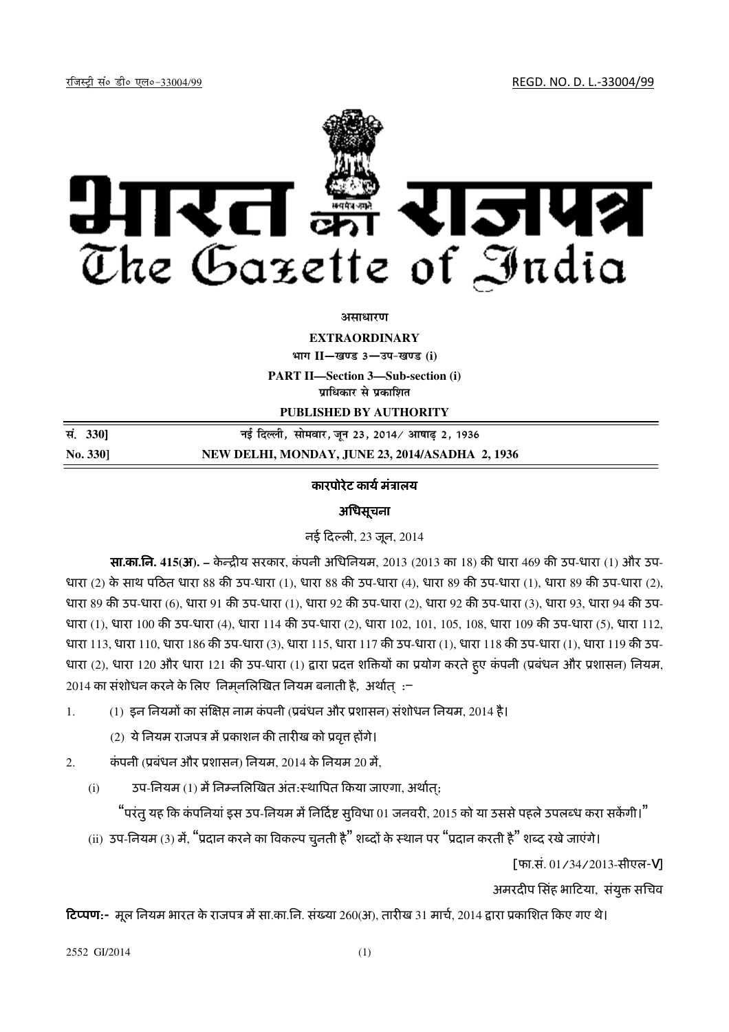jftLVªh laö Mhö ,yö&33004@99 REGD. NO. D. L.-33004/99



#### असाधार**ण**

**EXTRAORDINARY**

 $4$ **HTI**  $II$ — खण्ड 3— उप-खण्ड (i)

**PART II—Section 3—Sub-section (i)**

**पाधिकार से पका**शित

**PUBLISHED BY AUTHORITY**

**la- 330**] **ubZ fnYyh] lkseokj] twu 23] 2014@ vk"kk<+ 2] 1936 No. 330] NEW DELHI, MONDAY, JUNE 23, 2014/ASADHA 2, 1936**

# कारपोरेट कार्य मंत्रालय

# अधिसूचना

नई दली, 23 जून, 2014

सा**.**का**.**िन**. 415(**अ**). –** के िय सरकार, कं पनी अिधिनयम, 2013 (2013 का 18) क धारा 469 क उप-धारा (1) और उप-धारा (2) के साथ पठित धारा 88 की उप-धारा (1), धारा 88 की उप-धारा (4), धारा 89 की उप-धारा (1), धारा 89 की उप-धारा (2), धारा 89 की उप-धारा (6), धारा 91 की उप-धारा (1), धारा 92 की उप-धारा (2), धारा 92 की उप-धारा (3), धारा 93, धारा 94 की उप-धारा (1), धारा 100 की उप-धारा (4), धारा 114 की उप-धारा (2), धारा 102, 101, 105, 108, धारा 109 की उप-धारा (5), धारा 112, धारा 113, धारा 110, धारा 186 की उप-धारा (3), धारा 115, धारा 117 की उप-धारा (1), धारा 118 की उप-धारा (1), धारा 119 की उप-धारा (2), धारा 120 और धारा 121 की उप-धारा (1) द्वारा प्रदत्त शक्तियों का प्रयोग करते हुए कंपनी (प्रबंधन और प्रशासन) नियम, 2014 का संशोधन करने के लिए निम्**नलिखित नियम बनाती है, अ**र्थात् :—

- $1.$  (1) इन नियमों का संक्षिप्त नाम कंपनी (प्रबंधन और प्रशासन) संशोधन नियम, 2014 है।
	- $(2)$  ये नियम राजपत्र में प्रकाशन की तारीख को प्रवृत्त होंगे।
- 2. कंपनी (प्रबंधन और प्रशासन) नियम, 2014 के नियम 20 में,
	- (i) उप-िनयम (1) म<िन?निल2खत अंत:ःथा)पत कया जाएगा, अथा त;्

"परंतु यह कि कंपनियां इस उप-नियम में निर्दिष्ट सुविधा 01 जनवरी, 2015 को या उससे पहले उपलब्ध करा सकेंगी।"

(ii) उप-नियम (3) में, "प्रदान करने का विकल्प चनती है" शब्दों के स्थान पर "प्रदान करती है" शब्द रखे जाएंगे।

[फा.सं. 01/34/2013-सीएल-V]

अमरदीप सिंह भाटिया, संयुक्त सचिव

**टिप्पण:-** मूल नियम भारत के राजपत्र मे सा.का.नि. संख्या 260(अ), तारीख 31 माचे, 2014 द्वारा प्रकाशित किए गए थे।

2552 GI/2014 (1)